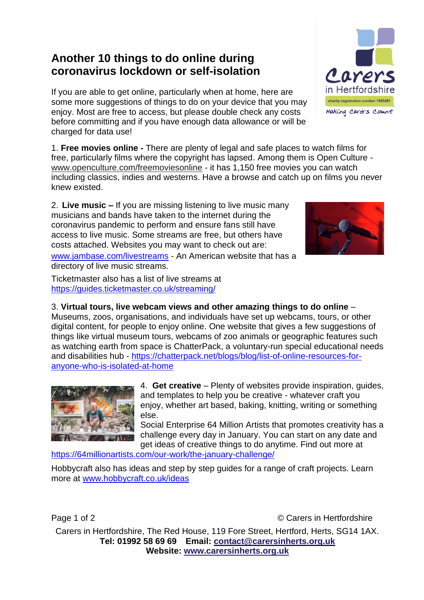## **Another 10 things to do online during coronavirus lockdown or self-isolation**

If you are able to get online, particularly when at home, here are some more suggestions of things to do on your device that you may enjoy. Most are free to access, but please double check any costs before committing and if you have enough data allowance or will be charged for data use!

1. **Free movies online -** There are plenty of legal and safe places to watch films for free, particularly films where the copyright has lapsed. Among them is Open Culture [www.openculture.com/freemoviesonline](http://www.openculture.com/freemoviesonline) - it has 1,150 free movies you can watch including classics, indies and westerns. Have a browse and catch up on films you never knew existed.

2. **Live music –** If you are missing listening to live music many musicians and bands have taken to the internet during the coronavirus pandemic to perform and ensure fans still have access to live music. Some streams are free, but others have costs attached. Websites you may want to check out are:

[www.jambase.com/livestreams](http://www.jambase.com/livestreams) - An American website that has a directory of live music streams.

Ticketmaster also has a list of live streams at <https://guides.ticketmaster.co.uk/streaming/>

3. **Virtual tours, live webcam views and other amazing things to do online** – Museums, zoos, organisations, and individuals have set up webcams, tours, or other digital content, for people to enjoy online. One website that gives a few suggestions of things like virtual museum tours, webcams of zoo animals or geographic features such as watching earth from space is ChatterPack, a voluntary-run special educational needs and disabilities hub - [https://chatterpack.net/blogs/blog/list-of-online-resources-for](https://chatterpack.net/blogs/blog/list-of-online-resources-for-anyone-who-is-isolated-at-home)[anyone-who-is-isolated-at-home](https://chatterpack.net/blogs/blog/list-of-online-resources-for-anyone-who-is-isolated-at-home)

> 4. **Get creative** – Plenty of websites provide inspiration, guides, and templates to help you be creative - whatever craft you enjoy, whether art based, baking, knitting, writing or something else.

Social Enterprise 64 Million Artists that promotes creativity has a challenge every day in January. You can start on any date and get ideas of creative things to do anytime. Find out more at

<https://64millionartists.com/our-work/the-january-challenge/>

Hobbycraft also has ideas and step by step guides for a range of craft projects. Learn more at [www.hobbycraft.co.uk/ideas](http://www.hobbycraft.co.uk/ideas)

Page 1 of 2 **Carella C** Carers in Hertfordshire

Carers in Hertfordshire, The Red House, 119 Fore Street, Hertford, Herts, SG14 1AX. **Tel: 01992 58 69 69 Email: [contact@carersinherts.org.uk](mailto:contact@carersinherts.org.uk) Website: [www.carersinherts.org.uk](http://www.carersinherts.org.uk/)**